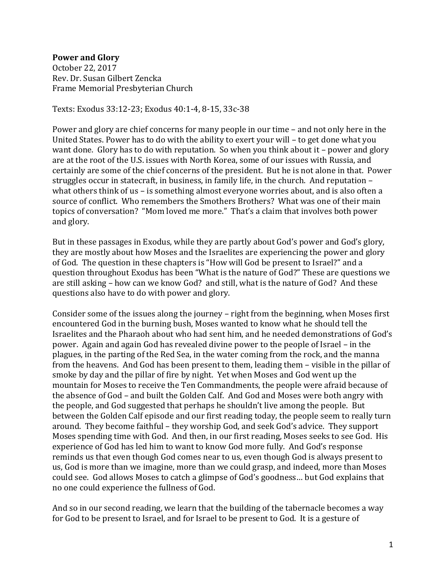## **Power and Glory**

October 22, 2017 Rev. Dr. Susan Gilbert Zencka Frame Memorial Presbyterian Church

Texts: Exodus 33:12-23; Exodus 40:1-4, 8-15, 33c-38

Power and glory are chief concerns for many people in our time – and not only here in the United States. Power has to do with the ability to exert your will – to get done what you want done. Glory has to do with reputation. So when you think about it – power and glory are at the root of the U.S. issues with North Korea, some of our issues with Russia, and certainly are some of the chief concerns of the president. But he is not alone in that. Power struggles occur in statecraft, in business, in family life, in the church. And reputation – what others think of us – is something almost everyone worries about, and is also often a source of conflict. Who remembers the Smothers Brothers? What was one of their main topics of conversation? "Mom loved me more." That's a claim that involves both power and glory.

But in these passages in Exodus, while they are partly about God's power and God's glory, they are mostly about how Moses and the Israelites are experiencing the power and glory of God. The question in these chapters is "How will God be present to Israel?" and a question throughout Exodus has been "What is the nature of God?" These are questions we are still asking – how can we know God? and still, what is the nature of God? And these questions also have to do with power and glory.

Consider some of the issues along the journey – right from the beginning, when Moses first encountered God in the burning bush, Moses wanted to know what he should tell the Israelites and the Pharaoh about who had sent him, and he needed demonstrations of God's power. Again and again God has revealed divine power to the people of Israel – in the plagues, in the parting of the Red Sea, in the water coming from the rock, and the manna from the heavens. And God has been present to them, leading them – visible in the pillar of smoke by day and the pillar of fire by night. Yet when Moses and God went up the mountain for Moses to receive the Ten Commandments, the people were afraid because of the absence of God – and built the Golden Calf. And God and Moses were both angry with the people, and God suggested that perhaps he shouldn't live among the people. But between the Golden Calf episode and our first reading today, the people seem to really turn around. They become faithful – they worship God, and seek God's advice. They support Moses spending time with God. And then, in our first reading, Moses seeks to see God. His experience of God has led him to want to know God more fully. And God's response reminds us that even though God comes near to us, even though God is always present to us, God is more than we imagine, more than we could grasp, and indeed, more than Moses could see. God allows Moses to catch a glimpse of God's goodness… but God explains that no one could experience the fullness of God.

And so in our second reading, we learn that the building of the tabernacle becomes a way for God to be present to Israel, and for Israel to be present to God. It is a gesture of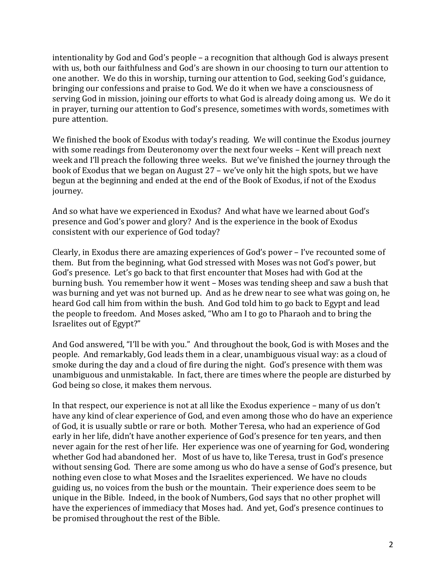intentionality by God and God's people – a recognition that although God is always present with us, both our faithfulness and God's are shown in our choosing to turn our attention to one another. We do this in worship, turning our attention to God, seeking God's guidance, bringing our confessions and praise to God. We do it when we have a consciousness of serving God in mission, joining our efforts to what God is already doing among us. We do it in prayer, turning our attention to God's presence, sometimes with words, sometimes with pure attention.

We finished the book of Exodus with today's reading. We will continue the Exodus journey with some readings from Deuteronomy over the next four weeks – Kent will preach next week and I'll preach the following three weeks. But we've finished the journey through the book of Exodus that we began on August 27 – we've only hit the high spots, but we have begun at the beginning and ended at the end of the Book of Exodus, if not of the Exodus journey.

And so what have we experienced in Exodus? And what have we learned about God's presence and God's power and glory? And is the experience in the book of Exodus consistent with our experience of God today?

Clearly, in Exodus there are amazing experiences of God's power – I've recounted some of them. But from the beginning, what God stressed with Moses was not God's power, but God's presence. Let's go back to that first encounter that Moses had with God at the burning bush. You remember how it went – Moses was tending sheep and saw a bush that was burning and yet was not burned up. And as he drew near to see what was going on, he heard God call him from within the bush. And God told him to go back to Egypt and lead the people to freedom. And Moses asked, "Who am I to go to Pharaoh and to bring the Israelites out of Egypt?"

And God answered, "I'll be with you." And throughout the book, God is with Moses and the people. And remarkably, God leads them in a clear, unambiguous visual way: as a cloud of smoke during the day and a cloud of fire during the night. God's presence with them was unambiguous and unmistakable. In fact, there are times where the people are disturbed by God being so close, it makes them nervous.

In that respect, our experience is not at all like the Exodus experience – many of us don't have any kind of clear experience of God, and even among those who do have an experience of God, it is usually subtle or rare or both. Mother Teresa, who had an experience of God early in her life, didn't have another experience of God's presence for ten years, and then never again for the rest of her life. Her experience was one of yearning for God, wondering whether God had abandoned her. Most of us have to, like Teresa, trust in God's presence without sensing God. There are some among us who do have a sense of God's presence, but nothing even close to what Moses and the Israelites experienced. We have no clouds guiding us, no voices from the bush or the mountain. Their experience does seem to be unique in the Bible. Indeed, in the book of Numbers, God says that no other prophet will have the experiences of immediacy that Moses had. And yet, God's presence continues to be promised throughout the rest of the Bible.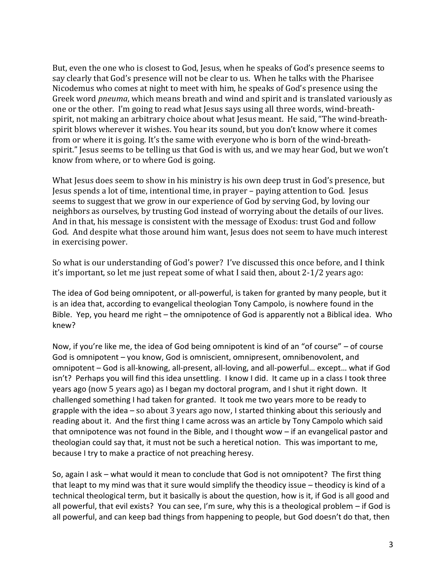But, even the one who is closest to God, Jesus, when he speaks of God's presence seems to say clearly that God's presence will not be clear to us. When he talks with the Pharisee Nicodemus who comes at night to meet with him, he speaks of God's presence using the Greek word *pneuma*, which means breath and wind and spirit and is translated variously as one or the other. I'm going to read what Jesus says using all three words, wind-breathspirit, not making an arbitrary choice about what Jesus meant. He said, "The wind-breathspirit blows wherever it wishes. You hear its sound, but you don't know where it comes from or where it is going. It's the same with everyone who is born of the wind-breathspirit." Jesus seems to be telling us that God is with us, and we may hear God, but we won't know from where, or to where God is going.

What Jesus does seem to show in his ministry is his own deep trust in God's presence, but Jesus spends a lot of time, intentional time, in prayer – paying attention to God. Jesus seems to suggest that we grow in our experience of God by serving God, by loving our neighbors as ourselves, by trusting God instead of worrying about the details of our lives. And in that, his message is consistent with the message of Exodus: trust God and follow God. And despite what those around him want, Jesus does not seem to have much interest in exercising power.

So what is our understanding of God's power? I've discussed this once before, and I think it's important, so let me just repeat some of what I said then, about 2-1/2 years ago:

The idea of God being omnipotent, or all-powerful, is taken for granted by many people, but it is an idea that, according to evangelical theologian Tony Campolo, is nowhere found in the Bible. Yep, you heard me right – the omnipotence of God is apparently not a Biblical idea. Who knew?

Now, if you're like me, the idea of God being omnipotent is kind of an "of course" – of course God is omnipotent – you know, God is omniscient, omnipresent, omnibenovolent, and omnipotent – God is all-knowing, all-present, all-loving, and all-powerful… except… what if God isn't? Perhaps you will find this idea unsettling. I know I did. It came up in a class I took three years ago (now 5 years ago) as I began my doctoral program, and I shut it right down. It challenged something I had taken for granted. It took me two years more to be ready to grapple with the idea – so about 3 years ago now, I started thinking about this seriously and reading about it. And the first thing I came across was an article by Tony Campolo which said that omnipotence was not found in the Bible, and I thought wow – if an evangelical pastor and theologian could say that, it must not be such a heretical notion. This was important to me, because I try to make a practice of not preaching heresy.

So, again I ask – what would it mean to conclude that God is not omnipotent? The first thing that leapt to my mind was that it sure would simplify the theodicy issue – theodicy is kind of a technical theological term, but it basically is about the question, how is it, if God is all good and all powerful, that evil exists? You can see, I'm sure, why this is a theological problem – if God is all powerful, and can keep bad things from happening to people, but God doesn't do that, then